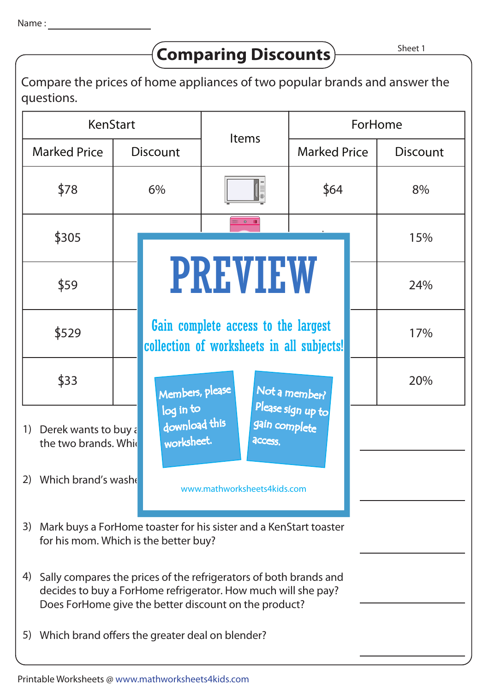## **Comparing Discounts**

Compare the prices of home appliances of two popular brands and answer the questions.

| KenStart                                                                                                                                                                                          |                 |                                                                                  | <b>Items</b>                | ForHome             |                 |  |  |  |
|---------------------------------------------------------------------------------------------------------------------------------------------------------------------------------------------------|-----------------|----------------------------------------------------------------------------------|-----------------------------|---------------------|-----------------|--|--|--|
| <b>Marked Price</b>                                                                                                                                                                               | <b>Discount</b> |                                                                                  |                             | <b>Marked Price</b> | <b>Discount</b> |  |  |  |
| \$78                                                                                                                                                                                              | 6%              |                                                                                  |                             | \$64                | 8%              |  |  |  |
| \$305                                                                                                                                                                                             |                 |                                                                                  | $\mathbf{0}$                |                     | 15%             |  |  |  |
| \$59                                                                                                                                                                                              |                 | <b>PREVIEW</b>                                                                   | 24%                         |                     |                 |  |  |  |
| \$529                                                                                                                                                                                             |                 | Gain complete access to the largest<br>collection of worksheets in all subjects! | 17%                         |                     |                 |  |  |  |
| \$33                                                                                                                                                                                              |                 | Members, please                                                                  |                             | Not a member?       | 20%             |  |  |  |
| 1) Derek wants to buy a<br>the two brands. Which                                                                                                                                                  |                 | log in to<br>download this<br>worksheet.                                         | gain complete<br>access.    | Please sign up to   |                 |  |  |  |
| 2) Which brand's wash                                                                                                                                                                             |                 |                                                                                  | www.mathworksheets4kids.com |                     |                 |  |  |  |
| 3) Mark buys a ForHome toaster for his sister and a KenStart toaster<br>for his mom. Which is the better buy?                                                                                     |                 |                                                                                  |                             |                     |                 |  |  |  |
| Sally compares the prices of the refrigerators of both brands and<br>4)<br>decides to buy a ForHome refrigerator. How much will she pay?<br>Does ForHome give the better discount on the product? |                 |                                                                                  |                             |                     |                 |  |  |  |
| 5) Which brand offers the greater deal on blender?                                                                                                                                                |                 |                                                                                  |                             |                     |                 |  |  |  |